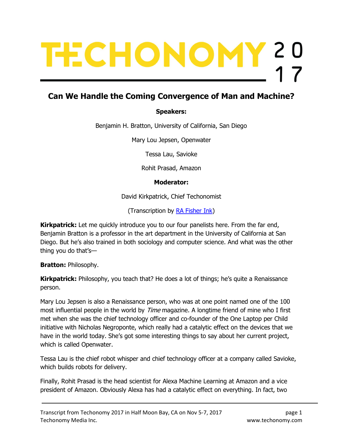# TECHONOMY 20

# Can We Handle the Coming Convergence of Man and Machine?

### Speakers:

Benjamin H. Bratton, University of California, San Diego

Mary Lou Jepsen, Openwater

Tessa Lau, Savioke

Rohit Prasad, Amazon

### Moderator:

David Kirkpatrick, Chief Techonomist

(Transcription by RA Fisher Ink)

Kirkpatrick: Let me quickly introduce you to our four panelists here. From the far end, Benjamin Bratton is a professor in the art department in the University of California at San Diego. But he's also trained in both sociology and computer science. And what was the other thing you do that's—

Bratton: Philosophy.

**Kirkpatrick:** Philosophy, you teach that? He does a lot of things; he's quite a Renaissance person.

Mary Lou Jepsen is also a Renaissance person, who was at one point named one of the 100 most influential people in the world by *Time* magazine. A longtime friend of mine who I first met when she was the chief technology officer and co-founder of the One Laptop per Child initiative with Nicholas Negroponte, which really had a catalytic effect on the devices that we have in the world today. She's got some interesting things to say about her current project, which is called Openwater.

Tessa Lau is the chief robot whisper and chief technology officer at a company called Savioke, which builds robots for delivery.

Finally, Rohit Prasad is the head scientist for Alexa Machine Learning at Amazon and a vice president of Amazon. Obviously Alexa has had a catalytic effect on everything. In fact, two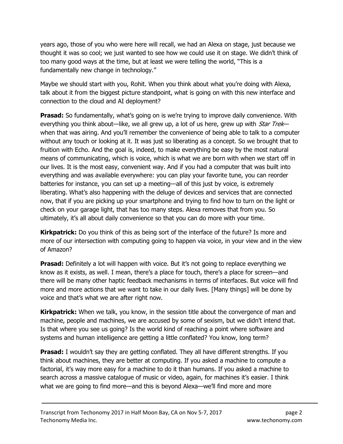years ago, those of you who were here will recall, we had an Alexa on stage, just because we thought it was so cool; we just wanted to see how we could use it on stage. We didn't think of too many good ways at the time, but at least we were telling the world, "This is a fundamentally new change in technology."

Maybe we should start with you, Rohit. When you think about what you're doing with Alexa, talk about it from the biggest picture standpoint, what is going on with this new interface and connection to the cloud and AI deployment?

**Prasad:** So fundamentally, what's going on is we're trying to improve daily convenience. With everything you think about—like, we all grew up, a lot of us here, grew up with Star Trek when that was airing. And you'll remember the convenience of being able to talk to a computer without any touch or looking at it. It was just so liberating as a concept. So we brought that to fruition with Echo. And the goal is, indeed, to make everything be easy by the most natural means of communicating, which is voice, which is what we are born with when we start off in our lives. It is the most easy, convenient way. And if you had a computer that was built into everything and was available everywhere: you can play your favorite tune, you can reorder batteries for instance, you can set up a meeting—all of this just by voice, is extremely liberating. What's also happening with the deluge of devices and services that are connected now, that if you are picking up your smartphone and trying to find how to turn on the light or check on your garage light, that has too many steps. Alexa removes that from you. So ultimately, it's all about daily convenience so that you can do more with your time.

**Kirkpatrick:** Do you think of this as being sort of the interface of the future? Is more and more of our intersection with computing going to happen via voice, in your view and in the view of Amazon?

**Prasad:** Definitely a lot will happen with voice. But it's not going to replace everything we know as it exists, as well. I mean, there's a place for touch, there's a place for screen—and there will be many other haptic feedback mechanisms in terms of interfaces. But voice will find more and more actions that we want to take in our daily lives. [Many things] will be done by voice and that's what we are after right now.

**Kirkpatrick:** When we talk, you know, in the session title about the convergence of man and machine, people and machines, we are accused by some of sexism, but we didn't intend that. Is that where you see us going? Is the world kind of reaching a point where software and systems and human intelligence are getting a little conflated? You know, long term?

**Prasad:** I wouldn't say they are getting conflated. They all have different strengths. If you think about machines, they are better at computing. If you asked a machine to compute a factorial, it's way more easy for a machine to do it than humans. If you asked a machine to search across a massive catalogue of music or video, again, for machines it's easier. I think what we are going to find more—and this is beyond Alexa—we'll find more and more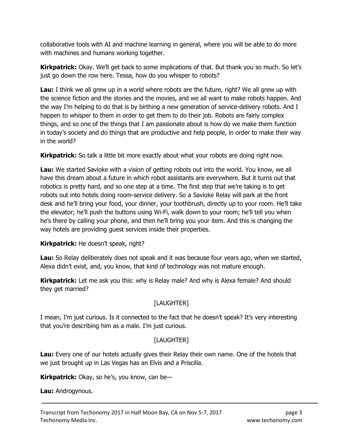collaborative tools with AI and machine learning in general, where you will be able to do more with machines and humans working together.

**Kirkpatrick:** Okay. We'll get back to some implications of that. But thank you so much. So let's just go down the row here. Tessa, how do you whisper to robots?

Lau: I think we all grew up in a world where robots are the future, right? We all grew up with the science fiction and the stories and the movies, and we all want to make robots happen. And the way I'm helping to do that is by birthing a new generation of service-delivery robots. And I happen to whisper to them in order to get them to do their job. Robots are fairly complex things, and so one of the things that I am passionate about is how do we make them function in today's society and do things that are productive and help people, in order to make their way in the world?

**Kirkpatrick:** So talk a little bit more exactly about what your robots are doing right now.

Lau: We started Savioke with a vision of getting robots out into the world. You know, we all have this dream about a future in which robot assistants are everywhere. But it turns out that robotics is pretty hard, and so one step at a time. The first step that we're taking is to get robots out into hotels doing room-service delivery. So a Savioke Relay will park at the front desk and he'll bring your food, your dinner, your toothbrush, directly up to your room. He'll take the elevator; he'll push the buttons using Wi-Fi, walk down to your room; he'll tell you when he's there by calling your phone, and then he'll bring you your item. And this is changing the way hotels are providing guest services inside their properties.

Kirkpatrick: He doesn't speak, right?

**Lau:** So Relay deliberately does not speak and it was because four years ago, when we started, Alexa didn't exist, and, you know, that kind of technology was not mature enough.

Kirkpatrick: Let me ask you this: why is Relay male? And why is Alexa female? And should they get married?

# [LAUGHTER]

I mean, I'm just curious. Is it connected to the fact that he doesn't speak? It's very interesting that you're describing him as a male. I'm just curious.

# [LAUGHTER]

Lau: Every one of our hotels actually gives their Relay their own name. One of the hotels that we just brought up in Las Vegas has an Elvis and a Priscilla.

**Kirkpatrick:** Okay, so he's, you know, can be—

Lau: Androgynous.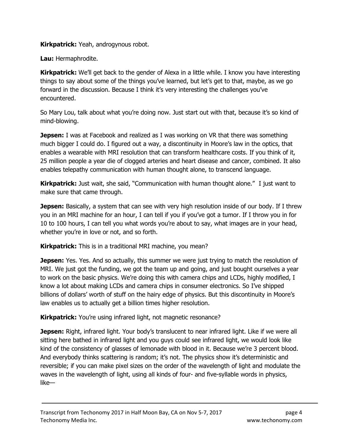**Kirkpatrick:** Yeah, androgynous robot.

Lau: Hermaphrodite.

**Kirkpatrick:** We'll get back to the gender of Alexa in a little while. I know you have interesting things to say about some of the things you've learned, but let's get to that, maybe, as we go forward in the discussion. Because I think it's very interesting the challenges you've encountered.

So Mary Lou, talk about what you're doing now. Just start out with that, because it's so kind of mind-blowing.

**Jepsen:** I was at Facebook and realized as I was working on VR that there was something much bigger I could do. I figured out a way, a discontinuity in Moore's law in the optics, that enables a wearable with MRI resolution that can transform healthcare costs. If you think of it, 25 million people a year die of clogged arteries and heart disease and cancer, combined. It also enables telepathy communication with human thought alone, to transcend language.

**Kirkpatrick:** Just wait, she said, "Communication with human thought alone." I just want to make sure that came through.

**Jepsen:** Basically, a system that can see with very high resolution inside of our body. If I threw you in an MRI machine for an hour, I can tell if you if you've got a tumor. If I throw you in for 10 to 100 hours, I can tell you what words you're about to say, what images are in your head, whether you're in love or not, and so forth.

Kirkpatrick: This is in a traditional MRI machine, you mean?

Jepsen: Yes. Yes. And so actually, this summer we were just trying to match the resolution of MRI. We just got the funding, we got the team up and going, and just bought ourselves a year to work on the basic physics. We're doing this with camera chips and LCDs, highly modified, I know a lot about making LCDs and camera chips in consumer electronics. So I've shipped billions of dollars' worth of stuff on the hairy edge of physics. But this discontinuity in Moore's law enables us to actually get a billion times higher resolution.

Kirkpatrick: You're using infrared light, not magnetic resonance?

**Jepsen:** Right, infrared light. Your body's translucent to near infrared light. Like if we were all sitting here bathed in infrared light and you guys could see infrared light, we would look like kind of the consistency of glasses of lemonade with blood in it. Because we're 3 percent blood. And everybody thinks scattering is random; it's not. The physics show it's deterministic and reversible; if you can make pixel sizes on the order of the wavelength of light and modulate the waves in the wavelength of light, using all kinds of four- and five-syllable words in physics, like—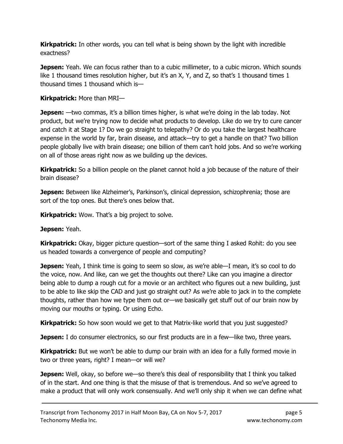**Kirkpatrick:** In other words, you can tell what is being shown by the light with incredible exactness?

**Jepsen:** Yeah. We can focus rather than to a cubic millimeter, to a cubic micron. Which sounds like 1 thousand times resolution higher, but it's an X, Y, and Z, so that's 1 thousand times 1 thousand times 1 thousand which is—

### Kirkpatrick: More than MRI-

**Jepsen:** —two commas, it's a billion times higher, is what we're doing in the lab today. Not product, but we're trying now to decide what products to develop. Like do we try to cure cancer and catch it at Stage 1? Do we go straight to telepathy? Or do you take the largest healthcare expense in the world by far, brain disease, and attack—try to get a handle on that? Two billion people globally live with brain disease; one billion of them can't hold jobs. And so we're working on all of those areas right now as we building up the devices.

Kirkpatrick: So a billion people on the planet cannot hold a job because of the nature of their brain disease?

**Jepsen:** Between like Alzheimer's, Parkinson's, clinical depression, schizophrenia; those are sort of the top ones. But there's ones below that.

**Kirkpatrick:** Wow. That's a big project to solve.

### Jepsen: Yeah.

Kirkpatrick: Okay, bigger picture question—sort of the same thing I asked Rohit: do you see us headed towards a convergence of people and computing?

**Jepsen:** Yeah, I think time is going to seem so slow, as we're able—I mean, it's so cool to do the voice, now. And like, can we get the thoughts out there? Like can you imagine a director being able to dump a rough cut for a movie or an architect who figures out a new building, just to be able to like skip the CAD and just go straight out? As we're able to jack in to the complete thoughts, rather than how we type them out or—we basically get stuff out of our brain now by moving our mouths or typing. Or using Echo.

**Kirkpatrick:** So how soon would we get to that Matrix-like world that you just suggested?

**Jepsen:** I do consumer electronics, so our first products are in a few—like two, three years.

Kirkpatrick: But we won't be able to dump our brain with an idea for a fully formed movie in two or three years, right? I mean—or will we?

**Jepsen:** Well, okay, so before we—so there's this deal of responsibility that I think you talked of in the start. And one thing is that the misuse of that is tremendous. And so we've agreed to make a product that will only work consensually. And we'll only ship it when we can define what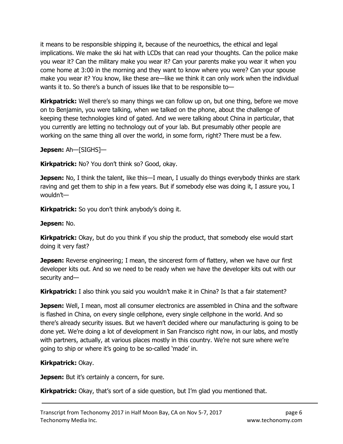it means to be responsible shipping it, because of the neuroethics, the ethical and legal implications. We make the ski hat with LCDs that can read your thoughts. Can the police make you wear it? Can the military make you wear it? Can your parents make you wear it when you come home at 3:00 in the morning and they want to know where you were? Can your spouse make you wear it? You know, like these are—like we think it can only work when the individual wants it to. So there's a bunch of issues like that to be responsible to—

**Kirkpatrick:** Well there's so many things we can follow up on, but one thing, before we move on to Benjamin, you were talking, when we talked on the phone, about the challenge of keeping these technologies kind of gated. And we were talking about China in particular, that you currently are letting no technology out of your lab. But presumably other people are working on the same thing all over the world, in some form, right? There must be a few.

Jepsen: Ah-[SIGHS]-

**Kirkpatrick:** No? You don't think so? Good, okay.

**Jepsen:** No, I think the talent, like this—I mean, I usually do things everybody thinks are stark raving and get them to ship in a few years. But if somebody else was doing it, I assure you, I wouldn't—

Kirkpatrick: So you don't think anybody's doing it.

Jepsen: No.

**Kirkpatrick:** Okay, but do you think if you ship the product, that somebody else would start doing it very fast?

**Jepsen:** Reverse engineering; I mean, the sincerest form of flattery, when we have our first developer kits out. And so we need to be ready when we have the developer kits out with our security and—

**Kirkpatrick:** I also think you said you wouldn't make it in China? Is that a fair statement?

**Jepsen:** Well, I mean, most all consumer electronics are assembled in China and the software is flashed in China, on every single cellphone, every single cellphone in the world. And so there's already security issues. But we haven't decided where our manufacturing is going to be done yet. We're doing a lot of development in San Francisco right now, in our labs, and mostly with partners, actually, at various places mostly in this country. We're not sure where we're going to ship or where it's going to be so-called 'made' in.

### Kirkpatrick: Okay.

**Jepsen:** But it's certainly a concern, for sure.

**Kirkpatrick:** Okay, that's sort of a side question, but I'm glad you mentioned that.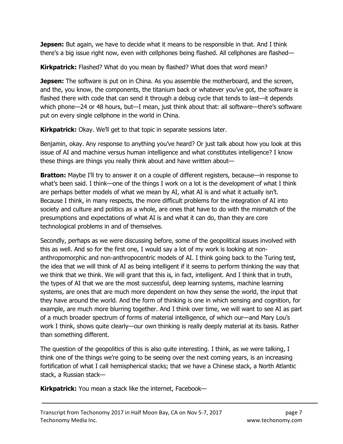**Jepsen:** But again, we have to decide what it means to be responsible in that. And I think there's a big issue right now, even with cellphones being flashed. All cellphones are flashed—

**Kirkpatrick:** Flashed? What do you mean by flashed? What does that word mean?

**Jepsen:** The software is put on in China. As you assemble the motherboard, and the screen, and the, you know, the components, the titanium back or whatever you've got, the software is flashed there with code that can send it through a debug cycle that tends to last—it depends which phone—24 or 48 hours, but—I mean, just think about that: all software—there's software put on every single cellphone in the world in China.

**Kirkpatrick:** Okay. We'll get to that topic in separate sessions later.

Benjamin, okay. Any response to anything you've heard? Or just talk about how you look at this issue of AI and machine versus human intelligence and what constitutes intelligence? I know these things are things you really think about and have written about—

**Bratton:** Maybe I'll try to answer it on a couple of different registers, because—in response to what's been said. I think—one of the things I work on a lot is the development of what I think are perhaps better models of what we mean by AI, what AI is and what it actually isn't. Because I think, in many respects, the more difficult problems for the integration of AI into society and culture and politics as a whole, are ones that have to do with the mismatch of the presumptions and expectations of what AI is and what it can do, than they are core technological problems in and of themselves.

Secondly, perhaps as we were discussing before, some of the geopolitical issues involved with this as well. And so for the first one, I would say a lot of my work is looking at nonanthropomorphic and non-anthropocentric models of AI. I think going back to the Turing test, the idea that we will think of AI as being intelligent if it seems to perform thinking the way that we think that we think. We will grant that this is, in fact, intelligent. And I think that in truth, the types of AI that we are the most successful, deep learning systems, machine learning systems, are ones that are much more dependent on how they sense the world, the input that they have around the world. And the form of thinking is one in which sensing and cognition, for example, are much more blurring together. And I think over time, we will want to see AI as part of a much broader spectrum of forms of material intelligence, of which our—and Mary Lou's work I think, shows quite clearly—our own thinking is really deeply material at its basis. Rather than something different.

The question of the geopolitics of this is also quite interesting. I think, as we were talking, I think one of the things we're going to be seeing over the next coming years, is an increasing fortification of what I call hemispherical stacks; that we have a Chinese stack, a North Atlantic stack, a Russian stack—

**Kirkpatrick:** You mean a stack like the internet, Facebook—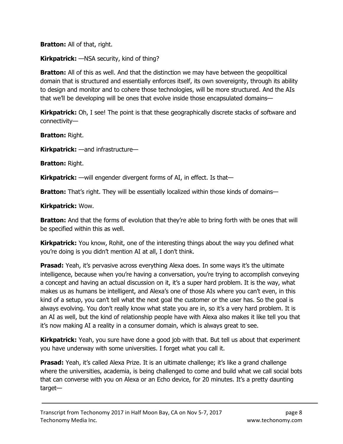**Bratton:** All of that, right.

Kirkpatrick: - NSA security, kind of thing?

**Bratton:** All of this as well. And that the distinction we may have between the geopolitical domain that is structured and essentially enforces itself, its own sovereignty, through its ability to design and monitor and to cohere those technologies, will be more structured. And the AIs that we'll be developing will be ones that evolve inside those encapsulated domains—

**Kirkpatrick:** Oh, I see! The point is that these geographically discrete stacks of software and connectivity—

Bratton: Right.

Kirkpatrick: —and infrastructure—

Bratton: Right.

**Kirkpatrick:** —will engender divergent forms of AI, in effect. Is that—

**Bratton:** That's right. They will be essentially localized within those kinds of domains—

Kirkpatrick: Wow.

**Bratton:** And that the forms of evolution that they're able to bring forth with be ones that will be specified within this as well.

**Kirkpatrick:** You know, Rohit, one of the interesting things about the way you defined what you're doing is you didn't mention AI at all, I don't think.

**Prasad:** Yeah, it's pervasive across everything Alexa does. In some ways it's the ultimate intelligence, because when you're having a conversation, you're trying to accomplish conveying a concept and having an actual discussion on it, it's a super hard problem. It is the way, what makes us as humans be intelligent, and Alexa's one of those AIs where you can't even, in this kind of a setup, you can't tell what the next goal the customer or the user has. So the goal is always evolving. You don't really know what state you are in, so it's a very hard problem. It is an AI as well, but the kind of relationship people have with Alexa also makes it like tell you that it's now making AI a reality in a consumer domain, which is always great to see.

**Kirkpatrick:** Yeah, you sure have done a good job with that. But tell us about that experiment you have underway with some universities. I forget what you call it.

**Prasad:** Yeah, it's called Alexa Prize. It is an ultimate challenge; it's like a grand challenge where the universities, academia, is being challenged to come and build what we call social bots that can converse with you on Alexa or an Echo device, for 20 minutes. It's a pretty daunting target—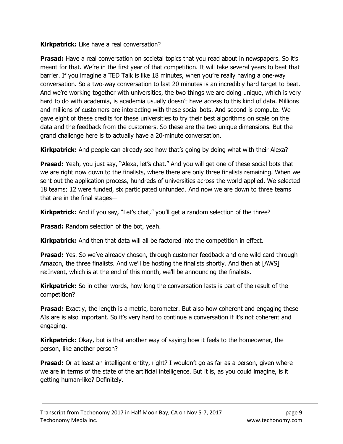### **Kirkpatrick:** Like have a real conversation?

**Prasad:** Have a real conversation on societal topics that you read about in newspapers. So it's meant for that. We're in the first year of that competition. It will take several years to beat that barrier. If you imagine a TED Talk is like 18 minutes, when you're really having a one-way conversation. So a two-way conversation to last 20 minutes is an incredibly hard target to beat. And we're working together with universities, the two things we are doing unique, which is very hard to do with academia, is academia usually doesn't have access to this kind of data. Millions and millions of customers are interacting with these social bots. And second is compute. We gave eight of these credits for these universities to try their best algorithms on scale on the data and the feedback from the customers. So these are the two unique dimensions. But the grand challenge here is to actually have a 20-minute conversation.

**Kirkpatrick:** And people can already see how that's going by doing what with their Alexa?

**Prasad:** Yeah, you just say, "Alexa, let's chat." And you will get one of these social bots that we are right now down to the finalists, where there are only three finalists remaining. When we sent out the application process, hundreds of universities across the world applied. We selected 18 teams; 12 were funded, six participated unfunded. And now we are down to three teams that are in the final stages—

Kirkpatrick: And if you say, "Let's chat," you'll get a random selection of the three?

**Prasad:** Random selection of the bot, yeah.

**Kirkpatrick:** And then that data will all be factored into the competition in effect.

**Prasad:** Yes. So we've already chosen, through customer feedback and one wild card through Amazon, the three finalists. And we'll be hosting the finalists shortly. And then at [AWS] re:Invent, which is at the end of this month, we'll be announcing the finalists.

**Kirkpatrick:** So in other words, how long the conversation lasts is part of the result of the competition?

**Prasad:** Exactly, the length is a metric, barometer. But also how coherent and engaging these AIs are is also important. So it's very hard to continue a conversation if it's not coherent and engaging.

**Kirkpatrick:** Okay, but is that another way of saying how it feels to the homeowner, the person, like another person?

**Prasad:** Or at least an intelligent entity, right? I wouldn't go as far as a person, given where we are in terms of the state of the artificial intelligence. But it is, as you could imagine, is it getting human-like? Definitely.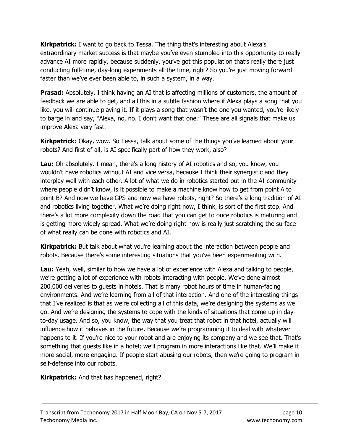**Kirkpatrick:** I want to go back to Tessa. The thing that's interesting about Alexa's extraordinary market success is that maybe you've even stumbled into this opportunity to really advance AI more rapidly, because suddenly, you've got this population that's really there just conducting full-time, day-long experiments all the time, right? So you're just moving forward faster than we've ever been able to, in such a system, in a way.

**Prasad:** Absolutely. I think having an AI that is affecting millions of customers, the amount of feedback we are able to get, and all this in a subtle fashion where if Alexa plays a song that you like, you will continue playing it. If it plays a song that wasn't the one you wanted, you're likely to barge in and say, "Alexa, no, no. I don't want that one." These are all signals that make us improve Alexa very fast.

**Kirkpatrick:** Okay, wow. So Tessa, talk about some of the things you've learned about your robots? And first of all, is AI specifically part of how they work, also?

**Lau:** Oh absolutely. I mean, there's a long history of AI robotics and so, you know, you wouldn't have robotics without AI and vice versa, because I think their synergistic and they interplay well with each other. A lot of what we do in robotics started out in the AI community where people didn't know, is it possible to make a machine know how to get from point A to point B? And now we have GPS and now we have robots, right? So there's a long tradition of AI and robotics living together. What we're doing right now, I think, is sort of the first step. And there's a lot more complexity down the road that you can get to once robotics is maturing and is getting more widely spread. What we're doing right now is really just scratching the surface of what really can be done with robotics and AI.

**Kirkpatrick:** But talk about what you're learning about the interaction between people and robots. Because there's some interesting situations that you've been experimenting with.

**Lau:** Yeah, well, similar to how we have a lot of experience with Alexa and talking to people, we're getting a lot of experience with robots interacting with people. We've done almost 200,000 deliveries to guests in hotels. That is many robot hours of time in human-facing environments. And we're learning from all of that interaction. And one of the interesting things that I've realized is that as we're collecting all of this data, we're designing the systems as we go. And we're designing the systems to cope with the kinds of situations that come up in dayto-day usage. And so, you know, the way that you treat that robot in that hotel, actually will influence how it behaves in the future. Because we're programming it to deal with whatever happens to it. If you're nice to your robot and are enjoying its company and we see that. That's something that guests like in a hotel; we'll program in more interactions like that. We'll make it more social, more engaging. If people start abusing our robots, then we're going to program in self-defense into our robots.

**Kirkpatrick:** And that has happened, right?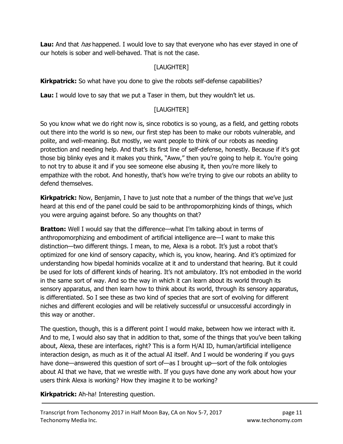**Lau:** And that *has* happened. I would love to say that everyone who has ever stayed in one of our hotels is sober and well-behaved. That is not the case.

# [LAUGHTER]

**Kirkpatrick:** So what have you done to give the robots self-defense capabilities?

Lau: I would love to say that we put a Taser in them, but they wouldn't let us.

### [LAUGHTER]

So you know what we do right now is, since robotics is so young, as a field, and getting robots out there into the world is so new, our first step has been to make our robots vulnerable, and polite, and well-meaning. But mostly, we want people to think of our robots as needing protection and needing help. And that's its first line of self-defense, honestly. Because if it's got those big blinky eyes and it makes you think, "Aww," then you're going to help it. You're going to not try to abuse it and if you see someone else abusing it, then you're more likely to empathize with the robot. And honestly, that's how we're trying to give our robots an ability to defend themselves.

**Kirkpatrick:** Now, Benjamin, I have to just note that a number of the things that we've just heard at this end of the panel could be said to be anthropomorphizing kinds of things, which you were arguing against before. So any thoughts on that?

**Bratton:** Well I would say that the difference—what I'm talking about in terms of anthropomorphizing and embodiment of artificial intelligence are—I want to make this distinction—two different things. I mean, to me, Alexa is a robot. It's just a robot that's optimized for one kind of sensory capacity, which is, you know, hearing. And it's optimized for understanding how bipedal hominids vocalize at it and to understand that hearing. But it could be used for lots of different kinds of hearing. It's not ambulatory. It's not embodied in the world in the same sort of way. And so the way in which it can learn about its world through its sensory apparatus, and then learn how to think about its world, through its sensory apparatus, is differentiated. So I see these as two kind of species that are sort of evolving for different niches and different ecologies and will be relatively successful or unsuccessful accordingly in this way or another.

The question, though, this is a different point I would make, between how we interact with it. And to me, I would also say that in addition to that, some of the things that you've been talking about, Alexa, these are interfaces, right? This is a form H/AI ID, human/artificial intelligence interaction design, as much as it of the actual AI itself. And I would be wondering if you guys have done—answered this question of sort of—as I brought up—sort of the folk ontologies about AI that we have, that we wrestle with. If you guys have done any work about how your users think Alexa is working? How they imagine it to be working?

Kirkpatrick: Ah-ha! Interesting question.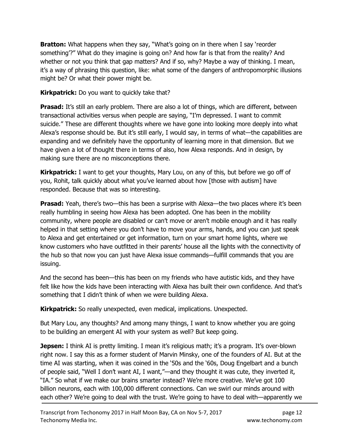**Bratton:** What happens when they say, "What's going on in there when I say 'reorder something'?" What do they imagine is going on? And how far is that from the reality? And whether or not you think that gap matters? And if so, why? Maybe a way of thinking. I mean, it's a way of phrasing this question, like: what some of the dangers of anthropomorphic illusions might be? Or what their power might be.

### **Kirkpatrick:** Do you want to quickly take that?

**Prasad:** It's still an early problem. There are also a lot of things, which are different, between transactional activities versus when people are saying, "I'm depressed. I want to commit suicide." These are different thoughts where we have gone into looking more deeply into what Alexa's response should be. But it's still early, I would say, in terms of what—the capabilities are expanding and we definitely have the opportunity of learning more in that dimension. But we have given a lot of thought there in terms of also, how Alexa responds. And in design, by making sure there are no misconceptions there.

**Kirkpatrick:** I want to get your thoughts, Mary Lou, on any of this, but before we go off of you, Rohit, talk quickly about what you've learned about how [those with autism] have responded. Because that was so interesting.

**Prasad:** Yeah, there's two—this has been a surprise with Alexa—the two places where it's been really humbling in seeing how Alexa has been adopted. One has been in the mobility community, where people are disabled or can't move or aren't mobile enough and it has really helped in that setting where you don't have to move your arms, hands, and you can just speak to Alexa and get entertained or get information, turn on your smart home lights, where we know customers who have outfitted in their parents' house all the lights with the connectivity of the hub so that now you can just have Alexa issue commands—fulfill commands that you are issuing.

And the second has been—this has been on my friends who have autistic kids, and they have felt like how the kids have been interacting with Alexa has built their own confidence. And that's something that I didn't think of when we were building Alexa.

Kirkpatrick: So really unexpected, even medical, implications. Unexpected.

But Mary Lou, any thoughts? And among many things, I want to know whether you are going to be building an emergent AI with your system as well? But keep going.

**Jepsen:** I think AI is pretty limiting. I mean it's religious math; it's a program. It's over-blown right now. I say this as a former student of Marvin Minsky, one of the founders of AI. But at the time AI was starting, when it was coined in the '50s and the '60s, Doug Engelbart and a bunch of people said, "Well I don't want AI, I want,"—and they thought it was cute, they inverted it, "IA." So what if we make our brains smarter instead? We're more creative. We've got 100 billion neurons, each with 100,000 different connections. Can we swirl our minds around with each other? We're going to deal with the trust. We're going to have to deal with—apparently we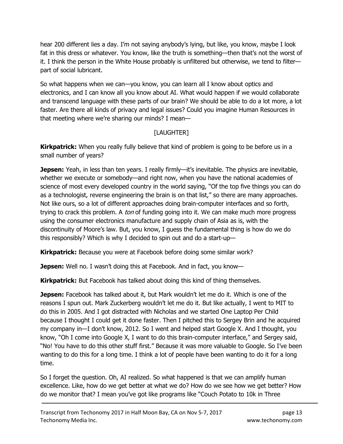hear 200 different lies a day. I'm not saying anybody's lying, but like, you know, maybe I look fat in this dress or whatever. You know, like the truth is something—then that's not the worst of it. I think the person in the White House probably is unfiltered but otherwise, we tend to filter part of social lubricant.

So what happens when we can—you know, you can learn all I know about optics and electronics, and I can know all you know about AI. What would happen if we would collaborate and transcend language with these parts of our brain? We should be able to do a lot more, a lot faster. Are there all kinds of privacy and legal issues? Could you imagine Human Resources in that meeting where we're sharing our minds? I mean—

# [LAUGHTER]

**Kirkpatrick:** When you really fully believe that kind of problem is going to be before us in a small number of years?

**Jepsen:** Yeah, in less than ten years. I really firmly—it's inevitable. The physics are inevitable, whether we execute or somebody—and right now, when you have the national academies of science of most every developed country in the world saying, "Of the top five things you can do as a technologist, reverse engineering the brain is on that list," so there are many approaches. Not like ours, so a lot of different approaches doing brain-computer interfaces and so forth, trying to crack this problem. A *ton* of funding going into it. We can make much more progress using the consumer electronics manufacture and supply chain of Asia as is, with the discontinuity of Moore's law. But, you know, I guess the fundamental thing is how do we do this responsibly? Which is why I decided to spin out and do a start-up—

**Kirkpatrick:** Because you were at Facebook before doing some similar work?

**Jepsen:** Well no. I wasn't doing this at Facebook. And in fact, you know—

Kirkpatrick: But Facebook has talked about doing this kind of thing themselves.

**Jepsen:** Facebook has talked about it, but Mark wouldn't let me do it. Which is one of the reasons I spun out. Mark Zuckerberg wouldn't let me do it. But like actually, I went to MIT to do this in 2005. And I got distracted with Nicholas and we started One Laptop Per Child because I thought I could get it done faster. Then I pitched this to Sergey Brin and he acquired my company in—I don't know, 2012. So I went and helped start Google X. And I thought, you know, "Oh I come into Google X, I want to do this brain-computer interface," and Sergey said, "No! You have to do this other stuff first." Because it was more valuable to Google. So I've been wanting to do this for a long time. I think a lot of people have been wanting to do it for a long time.

So I forget the question. Oh, AI realized. So what happened is that we can amplify human excellence. Like, how do we get better at what we do? How do we see how we get better? How do we monitor that? I mean you've got like programs like "Couch Potato to 10k in Three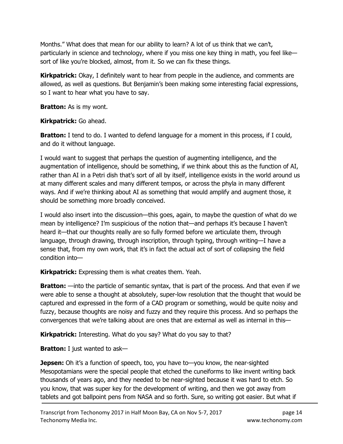Months." What does that mean for our ability to learn? A lot of us think that we can't, particularly in science and technology, where if you miss one key thing in math, you feel like sort of like you're blocked, almost, from it. So we can fix these things.

**Kirkpatrick:** Okay, I definitely want to hear from people in the audience, and comments are allowed, as well as questions. But Benjamin's been making some interesting facial expressions, so I want to hear what you have to say.

**Bratton:** As is my wont.

Kirkpatrick: Go ahead.

**Bratton:** I tend to do. I wanted to defend language for a moment in this process, if I could, and do it without language.

I would want to suggest that perhaps the question of augmenting intelligence, and the augmentation of intelligence, should be something, if we think about this as the function of AI, rather than AI in a Petri dish that's sort of all by itself, intelligence exists in the world around us at many different scales and many different tempos, or across the phyla in many different ways. And if we're thinking about AI as something that would amplify and augment those, it should be something more broadly conceived.

I would also insert into the discussion—this goes, again, to maybe the question of what do we mean by intelligence? I'm suspicious of the notion that—and perhaps it's because I haven't heard it—that our thoughts really are so fully formed before we articulate them, through language, through drawing, through inscription, through typing, through writing—I have a sense that, from my own work, that it's in fact the actual act of sort of collapsing the field condition into—

**Kirkpatrick:** Expressing them is what creates them. Yeah.

**Bratton:** —into the particle of semantic syntax, that is part of the process. And that even if we were able to sense a thought at absolutely, super-low resolution that the thought that would be captured and expressed in the form of a CAD program or something, would be quite noisy and fuzzy, because thoughts are noisy and fuzzy and they require this process. And so perhaps the convergences that we're talking about are ones that are external as well as internal in this—

**Kirkpatrick:** Interesting. What do you say? What do you say to that?

Bratton: I just wanted to ask-

**Jepsen:** Oh it's a function of speech, too, you have to—you know, the near-sighted Mesopotamians were the special people that etched the cuneiforms to like invent writing back thousands of years ago, and they needed to be near-sighted because it was hard to etch. So you know, that was super key for the development of writing, and then we got away from tablets and got ballpoint pens from NASA and so forth. Sure, so writing got easier. But what if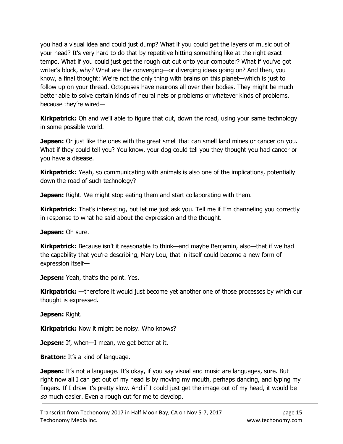you had a visual idea and could just dump? What if you could get the layers of music out of your head? It's very hard to do that by repetitive hitting something like at the right exact tempo. What if you could just get the rough cut out onto your computer? What if you've got writer's block, why? What are the converging—or diverging ideas going on? And then, you know, a final thought: We're not the only thing with brains on this planet—which is just to follow up on your thread. Octopuses have neurons all over their bodies. They might be much better able to solve certain kinds of neural nets or problems or whatever kinds of problems, because they're wired—

**Kirkpatrick:** Oh and we'll able to figure that out, down the road, using your same technology in some possible world.

**Jepsen:** Or just like the ones with the great smell that can smell land mines or cancer on you. What if they could tell you? You know, your dog could tell you they thought you had cancer or you have a disease.

**Kirkpatrick:** Yeah, so communicating with animals is also one of the implications, potentially down the road of such technology?

**Jepsen:** Right. We might stop eating them and start collaborating with them.

**Kirkpatrick:** That's interesting, but let me just ask you. Tell me if I'm channeling you correctly in response to what he said about the expression and the thought.

Jepsen: Oh sure.

Kirkpatrick: Because isn't it reasonable to think—and maybe Benjamin, also—that if we had the capability that you're describing, Mary Lou, that in itself could become a new form of expression itself—

Jepsen: Yeah, that's the point. Yes.

**Kirkpatrick:** —therefore it would just become yet another one of those processes by which our thought is expressed.

Jepsen: Right.

**Kirkpatrick:** Now it might be noisy. Who knows?

Jepsen: If, when-I mean, we get better at it.

**Bratton:** It's a kind of language.

**Jepsen:** It's not a language. It's okay, if you say visual and music are languages, sure. But right now all I can get out of my head is by moving my mouth, perhaps dancing, and typing my fingers. If I draw it's pretty slow. And if I could just get the image out of my head, it would be so much easier. Even a rough cut for me to develop.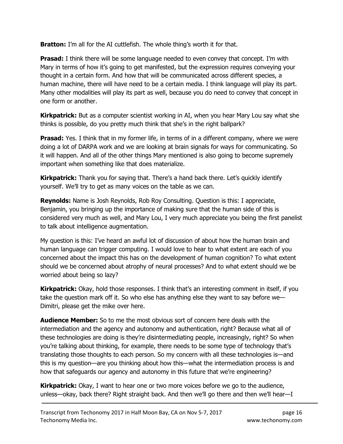**Bratton:** I'm all for the AI cuttlefish. The whole thing's worth it for that.

**Prasad:** I think there will be some language needed to even convey that concept. I'm with Mary in terms of how it's going to get manifested, but the expression requires conveying your thought in a certain form. And how that will be communicated across different species, a human machine, there will have need to be a certain media. I think language will play its part. Many other modalities will play its part as well, because you do need to convey that concept in one form or another.

**Kirkpatrick:** But as a computer scientist working in AI, when you hear Mary Lou say what she thinks is possible, do you pretty much think that she's in the right ballpark?

**Prasad:** Yes. I think that in my former life, in terms of in a different company, where we were doing a lot of DARPA work and we are looking at brain signals for ways for communicating. So it will happen. And all of the other things Mary mentioned is also going to become supremely important when something like that does materialize.

**Kirkpatrick:** Thank you for saying that. There's a hand back there. Let's quickly identify yourself. We'll try to get as many voices on the table as we can.

Reynolds: Name is Josh Reynolds, Rob Roy Consulting. Question is this: I appreciate, Benjamin, you bringing up the importance of making sure that the human side of this is considered very much as well, and Mary Lou, I very much appreciate you being the first panelist to talk about intelligence augmentation.

My question is this: I've heard an awful lot of discussion of about how the human brain and human language can trigger computing. I would love to hear to what extent are each of you concerned about the impact this has on the development of human cognition? To what extent should we be concerned about atrophy of neural processes? And to what extent should we be worried about being so lazy?

**Kirkpatrick:** Okay, hold those responses. I think that's an interesting comment in itself, if you take the question mark off it. So who else has anything else they want to say before we— Dimitri, please get the mike over here.

**Audience Member:** So to me the most obvious sort of concern here deals with the intermediation and the agency and autonomy and authentication, right? Because what all of these technologies are doing is they're disintermediating people, increasingly, right? So when you're talking about thinking, for example, there needs to be some type of technology that's translating those thoughts to each person. So my concern with all these technologies is—and this is my question—are you thinking about how this—what the intermediation process is and how that safeguards our agency and autonomy in this future that we're engineering?

**Kirkpatrick:** Okay, I want to hear one or two more voices before we go to the audience, unless—okay, back there? Right straight back. And then we'll go there and then we'll hear—I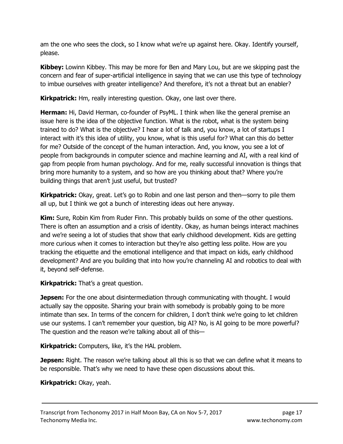am the one who sees the clock, so I know what we're up against here. Okay. Identify yourself, please.

**Kibbey:** Lowinn Kibbey. This may be more for Ben and Mary Lou, but are we skipping past the concern and fear of super-artificial intelligence in saying that we can use this type of technology to imbue ourselves with greater intelligence? And therefore, it's not a threat but an enabler?

Kirkpatrick: Hm, really interesting question. Okay, one last over there.

**Herman:** Hi, David Herman, co-founder of PsyML. I think when like the general premise an issue here is the idea of the objective function. What is the robot, what is the system being trained to do? What is the objective? I hear a lot of talk and, you know, a lot of startups I interact with it's this idea of utility, you know, what is this useful for? What can this do better for me? Outside of the concept of the human interaction. And, you know, you see a lot of people from backgrounds in computer science and machine learning and AI, with a real kind of gap from people from human psychology. And for me, really successful innovation is things that bring more humanity to a system, and so how are you thinking about that? Where you're building things that aren't just useful, but trusted?

**Kirkpatrick:** Okay, great. Let's go to Robin and one last person and then—sorry to pile them all up, but I think we got a bunch of interesting ideas out here anyway.

Kim: Sure, Robin Kim from Ruder Finn. This probably builds on some of the other questions. There is often an assumption and a crisis of identity. Okay, as human beings interact machines and we're seeing a lot of studies that show that early childhood development. Kids are getting more curious when it comes to interaction but they're also getting less polite. How are you tracking the etiquette and the emotional intelligence and that impact on kids, early childhood development? And are you building that into how you're channeling AI and robotics to deal with it, beyond self-defense.

**Kirkpatrick:** That's a great question.

**Jepsen:** For the one about disintermediation through communicating with thought. I would actually say the opposite. Sharing your brain with somebody is probably going to be more intimate than sex. In terms of the concern for children, I don't think we're going to let children use our systems. I can't remember your question, big AI? No, is AI going to be more powerful? The question and the reason we're talking about all of this—

**Kirkpatrick:** Computers, like, it's the HAL problem.

**Jepsen:** Right. The reason we're talking about all this is so that we can define what it means to be responsible. That's why we need to have these open discussions about this.

Kirkpatrick: Okay, yeah.